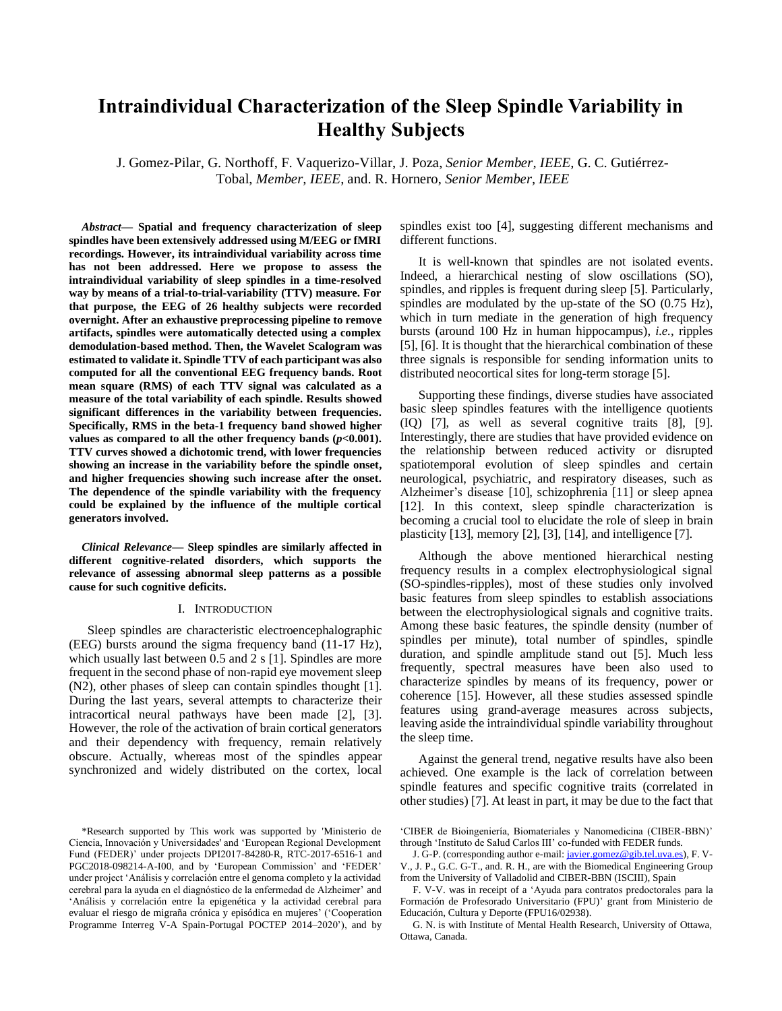# **Intraindividual Characterization of the Sleep Spindle Variability in Healthy Subjects**

J. Gomez-Pilar, G. Northoff, F. Vaquerizo-Villar, J. Poza, *Senior Member, IEEE,* G. C. Gutiérrez-Tobal, *Member, IEEE*, and. R. Hornero, *Senior Member, IEEE*

*Abstract***— Spatial and frequency characterization of sleep spindles have been extensively addressed using M/EEG or fMRI recordings. However, its intraindividual variability across time has not been addressed. Here we propose to assess the intraindividual variability of sleep spindles in a time-resolved way by means of a trial-to-trial-variability (TTV) measure. For that purpose, the EEG of 26 healthy subjects were recorded overnight. After an exhaustive preprocessing pipeline to remove artifacts, spindles were automatically detected using a complex demodulation-based method. Then, the Wavelet Scalogram was estimated to validate it. Spindle TTV of each participant was also computed for all the conventional EEG frequency bands. Root mean square (RMS) of each TTV signal was calculated as a measure of the total variability of each spindle. Results showed significant differences in the variability between frequencies. Specifically, RMS in the beta-1 frequency band showed higher**  values as compared to all the other frequency bands  $(p<0.001)$ . **TTV curves showed a dichotomic trend, with lower frequencies showing an increase in the variability before the spindle onset, and higher frequencies showing such increase after the onset. The dependence of the spindle variability with the frequency could be explained by the influence of the multiple cortical generators involved.**

*Clinical Relevance***— Sleep spindles are similarly affected in different cognitive-related disorders, which supports the relevance of assessing abnormal sleep patterns as a possible cause for such cognitive deficits.**

# I. INTRODUCTION

Sleep spindles are characteristic electroencephalographic (EEG) bursts around the sigma frequency band (11-17 Hz), which usually last between 0.5 and 2 s [1]. Spindles are more frequent in the second phase of non-rapid eye movement sleep (N2), other phases of sleep can contain spindles thought [1]. During the last years, several attempts to characterize their intracortical neural pathways have been made [2], [3]. However, the role of the activation of brain cortical generators and their dependency with frequency, remain relatively obscure. Actually, whereas most of the spindles appear synchronized and widely distributed on the cortex, local spindles exist too [4], suggesting different mechanisms and different functions.

It is well-known that spindles are not isolated events. Indeed, a hierarchical nesting of slow oscillations (SO), spindles, and ripples is frequent during sleep [5]. Particularly, spindles are modulated by the up-state of the SO (0.75 Hz), which in turn mediate in the generation of high frequency bursts (around 100 Hz in human hippocampus), *i.e.*, ripples [5], [6]. It is thought that the hierarchical combination of these three signals is responsible for sending information units to distributed neocortical sites for long-term storage [5].

Supporting these findings, diverse studies have associated basic sleep spindles features with the intelligence quotients (IQ) [7], as well as several cognitive traits [8], [9]. Interestingly, there are studies that have provided evidence on the relationship between reduced activity or disrupted spatiotemporal evolution of sleep spindles and certain neurological, psychiatric, and respiratory diseases, such as Alzheimer's disease [10], schizophrenia [11] or sleep apnea [12]. In this context, sleep spindle characterization is becoming a crucial tool to elucidate the role of sleep in brain plasticity [13], memory [2], [3], [14], and intelligence [7].

Although the above mentioned hierarchical nesting frequency results in a complex electrophysiological signal (SO-spindles-ripples), most of these studies only involved basic features from sleep spindles to establish associations between the electrophysiological signals and cognitive traits. Among these basic features, the spindle density (number of spindles per minute), total number of spindles, spindle duration, and spindle amplitude stand out [5]. Much less frequently, spectral measures have been also used to characterize spindles by means of its frequency, power or coherence [15]. However, all these studies assessed spindle features using grand-average measures across subjects, leaving aside the intraindividual spindle variability throughout the sleep time.

Against the general trend, negative results have also been achieved. One example is the lack of correlation between spindle features and specific cognitive traits (correlated in other studies) [7]. At least in part, it may be due to the fact that

<sup>\*</sup>Research supported by This work was supported by 'Ministerio de Ciencia, Innovación y Universidades' and 'European Regional Development Fund (FEDER)' under projects DPI2017-84280-R, RTC-2017-6516-1 and PGC2018-098214-A-I00, and by 'European Commission' and 'FEDER' under project 'Análisis y correlación entre el genoma completo y la actividad cerebral para la ayuda en el diagnóstico de la enfermedad de Alzheimer' and 'Análisis y correlación entre la epigenética y la actividad cerebral para evaluar el riesgo de migraña crónica y episódica en mujeres' ('Cooperation Programme Interreg V-A Spain-Portugal POCTEP 2014–2020'), and by

<sup>&#</sup>x27;CIBER de Bioingeniería, Biomateriales y Nanomedicina (CIBER-BBN)' through 'Instituto de Salud Carlos III' co-funded with FEDER funds.

J. G-P. (corresponding author e-mail[: javier.gomez@gib.tel.uva.es\)](mailto:javier.gomez@gib.tel.uva.es), F. V-V., J. P., G.C. G-T., and. R. H., are with the Biomedical Engineering Group from the University of Valladolid and CIBER-BBN (ISCIII), Spain

F. V-V. was in receipt of a 'Ayuda para contratos predoctorales para la Formación de Profesorado Universitario (FPU)' grant from Ministerio de Educación, Cultura y Deporte (FPU16/02938).

G. N. is with Institute of Mental Health Research, University of Ottawa, Ottawa, Canada.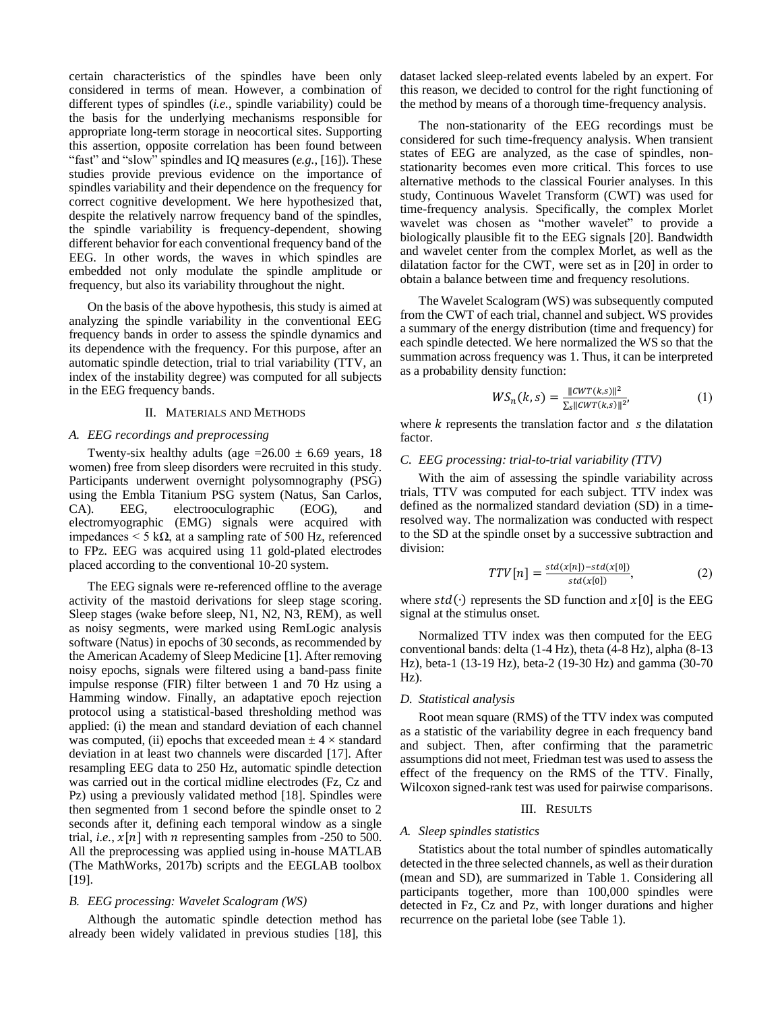certain characteristics of the spindles have been only considered in terms of mean. However, a combination of different types of spindles (*i.e.*, spindle variability) could be the basis for the underlying mechanisms responsible for appropriate long-term storage in neocortical sites. Supporting this assertion, opposite correlation has been found between "fast" and "slow" spindles and IQ measures (*e.g.*, [16]). These studies provide previous evidence on the importance of spindles variability and their dependence on the frequency for correct cognitive development. We here hypothesized that, despite the relatively narrow frequency band of the spindles, the spindle variability is frequency-dependent, showing different behavior for each conventional frequency band of the EEG. In other words, the waves in which spindles are embedded not only modulate the spindle amplitude or frequency, but also its variability throughout the night.

On the basis of the above hypothesis, this study is aimed at analyzing the spindle variability in the conventional EEG frequency bands in order to assess the spindle dynamics and its dependence with the frequency. For this purpose, after an automatic spindle detection, trial to trial variability (TTV, an index of the instability degree) was computed for all subjects in the EEG frequency bands.

## II. MATERIALS AND METHODS

# *A. EEG recordings and preprocessing*

Twenty-six healthy adults (age  $=26.00 \pm 6.69$  years, 18 women) free from sleep disorders were recruited in this study. Participants underwent overnight polysomnography (PSG) using the Embla Titanium PSG system (Natus, San Carlos, CA). EEG, electrooculographic (EOG), and electromyographic (EMG) signals were acquired with impedances < 5 kΩ, at a sampling rate of 500 Hz, referenced to FPz. EEG was acquired using 11 gold-plated electrodes placed according to the conventional 10-20 system.

The EEG signals were re-referenced offline to the average activity of the mastoid derivations for sleep stage scoring. Sleep stages (wake before sleep, N1, N2, N3, REM), as well as noisy segments, were marked using RemLogic analysis software (Natus) in epochs of 30 seconds, as recommended by the American Academy of Sleep Medicine [1]. After removing noisy epochs, signals were filtered using a band-pass finite impulse response (FIR) filter between 1 and 70 Hz using a Hamming window. Finally, an adaptative epoch rejection protocol using a statistical-based thresholding method was applied: (i) the mean and standard deviation of each channel was computed, (ii) epochs that exceeded mean  $\pm$  4  $\times$  standard deviation in at least two channels were discarded [17]. After resampling EEG data to 250 Hz, automatic spindle detection was carried out in the cortical midline electrodes (Fz, Cz and Pz) using a previously validated method [18]. Spindles were then segmented from 1 second before the spindle onset to 2 seconds after it, defining each temporal window as a single trial, *i.e.*,  $x[n]$  with *n* representing samples from -250 to 500. All the preprocessing was applied using in-house MATLAB (The MathWorks, 2017b) scripts and the EEGLAB toolbox [19].

## *B. EEG processing: Wavelet Scalogram (WS)*

Although the automatic spindle detection method has already been widely validated in previous studies [18], this dataset lacked sleep-related events labeled by an expert. For this reason, we decided to control for the right functioning of the method by means of a thorough time-frequency analysis.

The non-stationarity of the EEG recordings must be considered for such time-frequency analysis. When transient states of EEG are analyzed, as the case of spindles, nonstationarity becomes even more critical. This forces to use alternative methods to the classical Fourier analyses. In this study, Continuous Wavelet Transform (CWT) was used for time-frequency analysis. Specifically, the complex Morlet wavelet was chosen as "mother wavelet" to provide a biologically plausible fit to the EEG signals [20]. Bandwidth and wavelet center from the complex Morlet, as well as the dilatation factor for the CWT, were set as in [20] in order to obtain a balance between time and frequency resolutions.

The Wavelet Scalogram (WS) was subsequently computed from the CWT of each trial, channel and subject. WS provides a summary of the energy distribution (time and frequency) for each spindle detected. We here normalized the WS so that the summation across frequency was 1. Thus, it can be interpreted as a probability density function:

$$
WS_n(k,s) = \frac{\|cwT(k,s)\|^2}{\sum_{s} \|cwT(k,s)\|^2},\tag{1}
$$

where  $k$  represents the translation factor and  $s$  the dilatation factor.

#### *C. EEG processing: trial-to-trial variability (TTV)*

With the aim of assessing the spindle variability across trials, TTV was computed for each subject. TTV index was defined as the normalized standard deviation (SD) in a timeresolved way. The normalization was conducted with respect to the SD at the spindle onset by a successive subtraction and division:

$$
TTV[n] = \frac{std(x[n]) - std(x[0])}{std(x[0])},\tag{2}
$$

where  $std(\cdot)$  represents the SD function and  $x[0]$  is the EEG signal at the stimulus onset.

Normalized TTV index was then computed for the EEG conventional bands: delta (1-4 Hz), theta (4-8 Hz), alpha (8-13 Hz), beta-1 (13-19 Hz), beta-2 (19-30 Hz) and gamma (30-70 Hz).

# *D. Statistical analysis*

Root mean square (RMS) of the TTV index was computed as a statistic of the variability degree in each frequency band and subject. Then, after confirming that the parametric assumptions did not meet, Friedman test was used to assess the effect of the frequency on the RMS of the TTV. Finally, Wilcoxon signed-rank test was used for pairwise comparisons.

## III. RESULTS

#### *A. Sleep spindles statistics*

Statistics about the total number of spindles automatically detected in the three selected channels, as well as their duration (mean and SD), are summarized in Table 1. Considering all participants together, more than 100,000 spindles were detected in Fz, Cz and Pz, with longer durations and higher recurrence on the parietal lobe (see Table 1).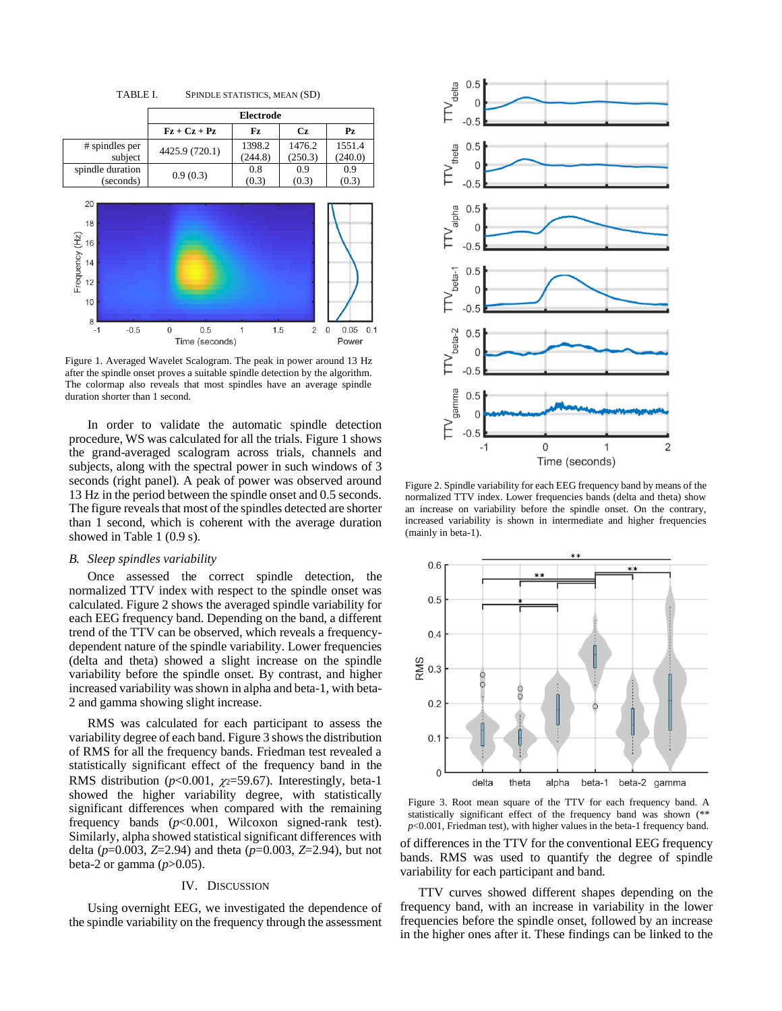

TABLE I. SPINDLE STATISTICS, MEAN (SD)

Figure 1. Averaged Wavelet Scalogram. The peak in power around 13 Hz after the spindle onset proves a suitable spindle detection by the algorithm. The colormap also reveals that most spindles have an average spindle duration shorter than 1 second.

In order to validate the automatic spindle detection procedure, WS was calculated for all the trials. Figure 1 shows the grand-averaged scalogram across trials, channels and subjects, along with the spectral power in such windows of 3 seconds (right panel). A peak of power was observed around 13 Hz in the period between the spindle onset and 0.5 seconds. The figure reveals that most of the spindles detected are shorter than 1 second, which is coherent with the average duration showed in Table 1 (0.9 s).

#### *B. Sleep spindles variability*

Once assessed the correct spindle detection, the normalized TTV index with respect to the spindle onset was calculated. Figure 2 shows the averaged spindle variability for each EEG frequency band. Depending on the band, a different trend of the TTV can be observed, which reveals a frequencydependent nature of the spindle variability. Lower frequencies (delta and theta) showed a slight increase on the spindle variability before the spindle onset. By contrast, and higher increased variability was shown in alpha and beta-1, with beta-2 and gamma showing slight increase.

RMS was calculated for each participant to assess the variability degree of each band.Figure 3 shows the distribution of RMS for all the frequency bands. Friedman test revealed a statistically significant effect of the frequency band in the RMS distribution ( $p<0.001$ ,  $p=59.67$ ). Interestingly, beta-1 showed the higher variability degree, with statistically significant differences when compared with the remaining frequency bands (*p*<0.001, Wilcoxon signed-rank test). Similarly, alpha showed statistical significant differences with delta (*p*=0.003, *Z*=2.94) and theta (*p*=0.003, *Z*=2.94), but not beta-2 or gamma  $(p>0.05)$ .

## IV. DISCUSSION

Using overnight EEG, we investigated the dependence of the spindle variability on the frequency through the assessment



Figure 2. Spindle variability for each EEG frequency band by means of the normalized TTV index. Lower frequencies bands (delta and theta) show an increase on variability before the spindle onset. On the contrary, increased variability is shown in intermediate and higher frequencies (mainly in beta-1).



Figure 3. Root mean square of the TTV for each frequency band. A statistically significant effect of the frequency band was shown (\*\* *p*<0.001, Friedman test), with higher values in the beta-1 frequency band.

of differences in the TTV for the conventional EEG frequency bands. RMS was used to quantify the degree of spindle variability for each participant and band.

TTV curves showed different shapes depending on the frequency band, with an increase in variability in the lower frequencies before the spindle onset, followed by an increase in the higher ones after it. These findings can be linked to the